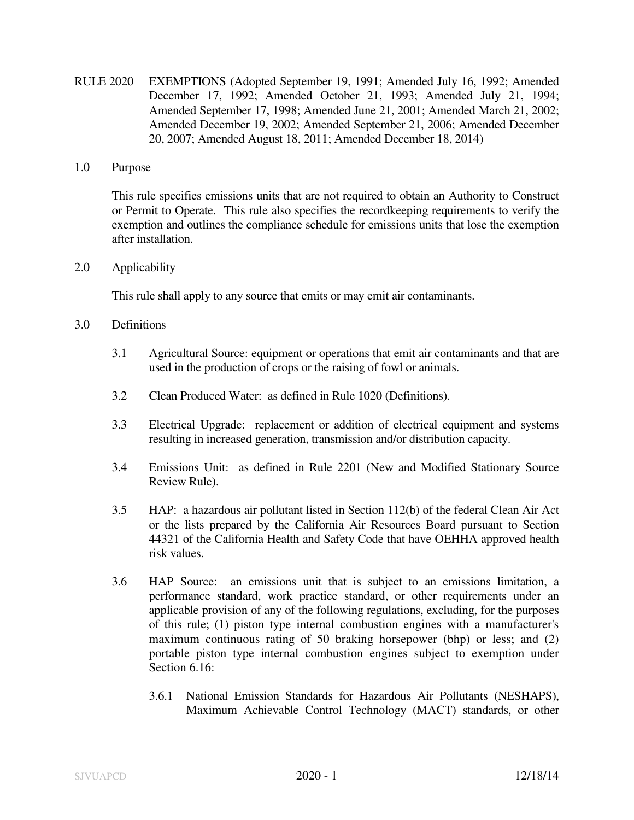RULE 2020 EXEMPTIONS (Adopted September 19, 1991; Amended July 16, 1992; Amended December 17, 1992; Amended October 21, 1993; Amended July 21, 1994; Amended September 17, 1998; Amended June 21, 2001; Amended March 21, 2002; Amended December 19, 2002; Amended September 21, 2006; Amended December 20, 2007; Amended August 18, 2011; Amended December 18, 2014)

## 1.0 Purpose

This rule specifies emissions units that are not required to obtain an Authority to Construct or Permit to Operate. This rule also specifies the recordkeeping requirements to verify the exemption and outlines the compliance schedule for emissions units that lose the exemption after installation.

## 2.0 Applicability

This rule shall apply to any source that emits or may emit air contaminants.

- 3.0 Definitions
	- 3.1 Agricultural Source: equipment or operations that emit air contaminants and that are used in the production of crops or the raising of fowl or animals.
	- 3.2 Clean Produced Water: as defined in Rule 1020 (Definitions).
	- 3.3 Electrical Upgrade: replacement or addition of electrical equipment and systems resulting in increased generation, transmission and/or distribution capacity.
	- 3.4 Emissions Unit: as defined in Rule 2201 (New and Modified Stationary Source Review Rule).
	- 3.5 HAP: a hazardous air pollutant listed in Section 112(b) of the federal Clean Air Act or the lists prepared by the California Air Resources Board pursuant to Section 44321 of the California Health and Safety Code that have OEHHA approved health risk values.
	- 3.6 HAP Source: an emissions unit that is subject to an emissions limitation, a performance standard, work practice standard, or other requirements under an applicable provision of any of the following regulations, excluding, for the purposes of this rule; (1) piston type internal combustion engines with a manufacturer's maximum continuous rating of 50 braking horsepower (bhp) or less; and (2) portable piston type internal combustion engines subject to exemption under Section 6.16:
		- 3.6.1 National Emission Standards for Hazardous Air Pollutants (NESHAPS), Maximum Achievable Control Technology (MACT) standards, or other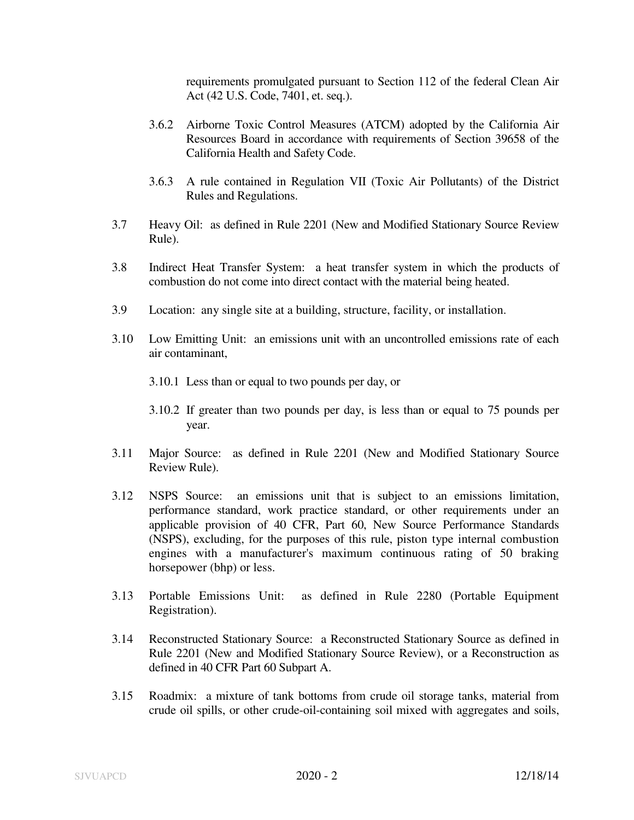requirements promulgated pursuant to Section 112 of the federal Clean Air Act (42 U.S. Code, 7401, et. seq.).

- 3.6.2 Airborne Toxic Control Measures (ATCM) adopted by the California Air Resources Board in accordance with requirements of Section 39658 of the California Health and Safety Code.
- 3.6.3 A rule contained in Regulation VII (Toxic Air Pollutants) of the District Rules and Regulations.
- 3.7 Heavy Oil: as defined in Rule 2201 (New and Modified Stationary Source Review Rule).
- 3.8 Indirect Heat Transfer System: a heat transfer system in which the products of combustion do not come into direct contact with the material being heated.
- 3.9 Location: any single site at a building, structure, facility, or installation.
- 3.10 Low Emitting Unit: an emissions unit with an uncontrolled emissions rate of each air contaminant,
	- 3.10.1 Less than or equal to two pounds per day, or
	- 3.10.2 If greater than two pounds per day, is less than or equal to 75 pounds per year.
- 3.11 Major Source: as defined in Rule 2201 (New and Modified Stationary Source Review Rule).
- 3.12 NSPS Source: an emissions unit that is subject to an emissions limitation, performance standard, work practice standard, or other requirements under an applicable provision of 40 CFR, Part 60, New Source Performance Standards (NSPS), excluding, for the purposes of this rule, piston type internal combustion engines with a manufacturer's maximum continuous rating of 50 braking horsepower (bhp) or less.
- 3.13 Portable Emissions Unit: as defined in Rule 2280 (Portable Equipment Registration).
- 3.14 Reconstructed Stationary Source: a Reconstructed Stationary Source as defined in Rule 2201 (New and Modified Stationary Source Review), or a Reconstruction as defined in 40 CFR Part 60 Subpart A.
- 3.15 Roadmix: a mixture of tank bottoms from crude oil storage tanks, material from crude oil spills, or other crude-oil-containing soil mixed with aggregates and soils,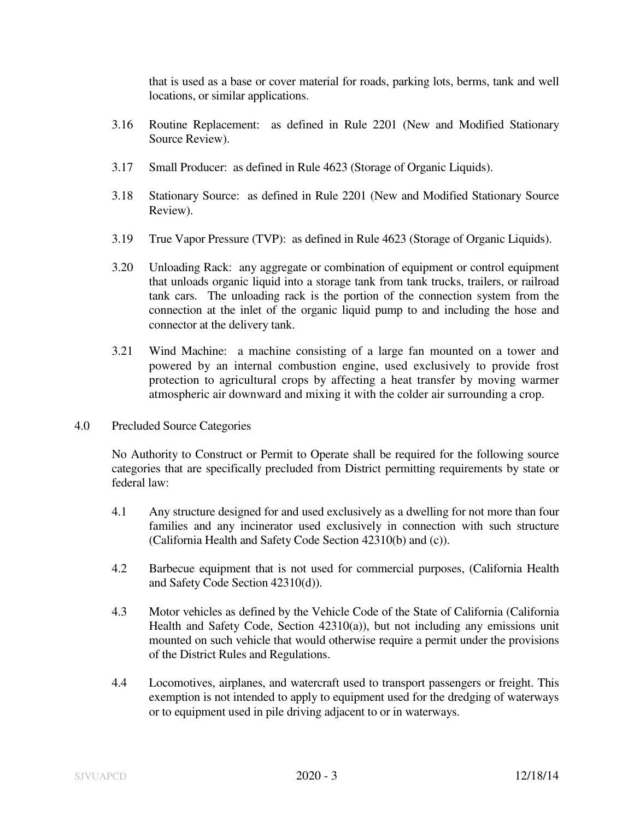that is used as a base or cover material for roads, parking lots, berms, tank and well locations, or similar applications.

- 3.16 Routine Replacement: as defined in Rule 2201 (New and Modified Stationary Source Review).
- 3.17 Small Producer: as defined in Rule 4623 (Storage of Organic Liquids).
- 3.18 Stationary Source: as defined in Rule 2201 (New and Modified Stationary Source Review).
- 3.19 True Vapor Pressure (TVP): as defined in Rule 4623 (Storage of Organic Liquids).
- 3.20 Unloading Rack: any aggregate or combination of equipment or control equipment that unloads organic liquid into a storage tank from tank trucks, trailers, or railroad tank cars. The unloading rack is the portion of the connection system from the connection at the inlet of the organic liquid pump to and including the hose and connector at the delivery tank.
- 3.21 Wind Machine: a machine consisting of a large fan mounted on a tower and powered by an internal combustion engine, used exclusively to provide frost protection to agricultural crops by affecting a heat transfer by moving warmer atmospheric air downward and mixing it with the colder air surrounding a crop.
- 4.0 Precluded Source Categories

 No Authority to Construct or Permit to Operate shall be required for the following source categories that are specifically precluded from District permitting requirements by state or federal law:

- 4.1 Any structure designed for and used exclusively as a dwelling for not more than four families and any incinerator used exclusively in connection with such structure (California Health and Safety Code Section 42310(b) and (c)).
- 4.2 Barbecue equipment that is not used for commercial purposes, (California Health and Safety Code Section 42310(d)).
- 4.3 Motor vehicles as defined by the Vehicle Code of the State of California (California Health and Safety Code, Section 42310(a)), but not including any emissions unit mounted on such vehicle that would otherwise require a permit under the provisions of the District Rules and Regulations.
- 4.4 Locomotives, airplanes, and watercraft used to transport passengers or freight. This exemption is not intended to apply to equipment used for the dredging of waterways or to equipment used in pile driving adjacent to or in waterways.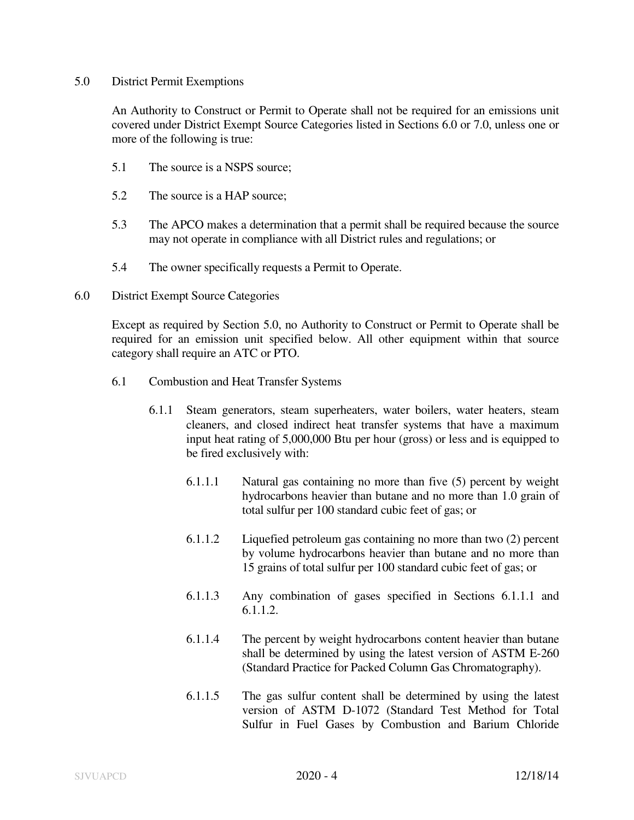## 5.0 District Permit Exemptions

An Authority to Construct or Permit to Operate shall not be required for an emissions unit covered under District Exempt Source Categories listed in Sections 6.0 or 7.0, unless one or more of the following is true:

- 5.1 The source is a NSPS source;
- 5.2 The source is a HAP source;
- 5.3 The APCO makes a determination that a permit shall be required because the source may not operate in compliance with all District rules and regulations; or
- 5.4 The owner specifically requests a Permit to Operate.
- 6.0 District Exempt Source Categories

 Except as required by Section 5.0, no Authority to Construct or Permit to Operate shall be required for an emission unit specified below. All other equipment within that source category shall require an ATC or PTO.

- 6.1 Combustion and Heat Transfer Systems
	- 6.1.1 Steam generators, steam superheaters, water boilers, water heaters, steam cleaners, and closed indirect heat transfer systems that have a maximum input heat rating of 5,000,000 Btu per hour (gross) or less and is equipped to be fired exclusively with:
		- 6.1.1.1 Natural gas containing no more than five (5) percent by weight hydrocarbons heavier than butane and no more than 1.0 grain of total sulfur per 100 standard cubic feet of gas; or
		- 6.1.1.2 Liquefied petroleum gas containing no more than two (2) percent by volume hydrocarbons heavier than butane and no more than 15 grains of total sulfur per 100 standard cubic feet of gas; or
		- 6.1.1.3 Any combination of gases specified in Sections 6.1.1.1 and 6.1.1.2.
		- 6.1.1.4 The percent by weight hydrocarbons content heavier than butane shall be determined by using the latest version of ASTM E-260 (Standard Practice for Packed Column Gas Chromatography).
		- 6.1.1.5 The gas sulfur content shall be determined by using the latest version of ASTM D-1072 (Standard Test Method for Total Sulfur in Fuel Gases by Combustion and Barium Chloride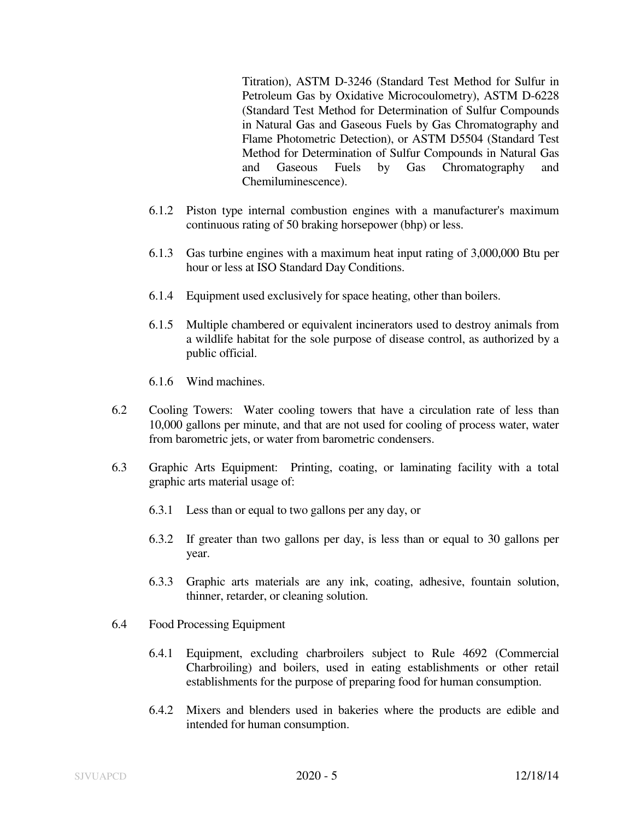Titration), ASTM D-3246 (Standard Test Method for Sulfur in Petroleum Gas by Oxidative Microcoulometry), ASTM D-6228 (Standard Test Method for Determination of Sulfur Compounds in Natural Gas and Gaseous Fuels by Gas Chromatography and Flame Photometric Detection), or ASTM D5504 (Standard Test Method for Determination of Sulfur Compounds in Natural Gas and Gaseous Fuels by Gas Chromatography and Chemiluminescence).

- 6.1.2 Piston type internal combustion engines with a manufacturer's maximum continuous rating of 50 braking horsepower (bhp) or less.
- 6.1.3 Gas turbine engines with a maximum heat input rating of 3,000,000 Btu per hour or less at ISO Standard Day Conditions.
- 6.1.4 Equipment used exclusively for space heating, other than boilers.
- 6.1.5 Multiple chambered or equivalent incinerators used to destroy animals from a wildlife habitat for the sole purpose of disease control, as authorized by a public official.
- 6.1.6 Wind machines.
- 6.2 Cooling Towers: Water cooling towers that have a circulation rate of less than 10,000 gallons per minute, and that are not used for cooling of process water, water from barometric jets, or water from barometric condensers.
- 6.3 Graphic Arts Equipment: Printing, coating, or laminating facility with a total graphic arts material usage of:
	- 6.3.1 Less than or equal to two gallons per any day, or
	- 6.3.2 If greater than two gallons per day, is less than or equal to 30 gallons per year.
	- 6.3.3 Graphic arts materials are any ink, coating, adhesive, fountain solution, thinner, retarder, or cleaning solution.
- 6.4 Food Processing Equipment
	- 6.4.1 Equipment, excluding charbroilers subject to Rule 4692 (Commercial Charbroiling) and boilers, used in eating establishments or other retail establishments for the purpose of preparing food for human consumption.
	- 6.4.2 Mixers and blenders used in bakeries where the products are edible and intended for human consumption.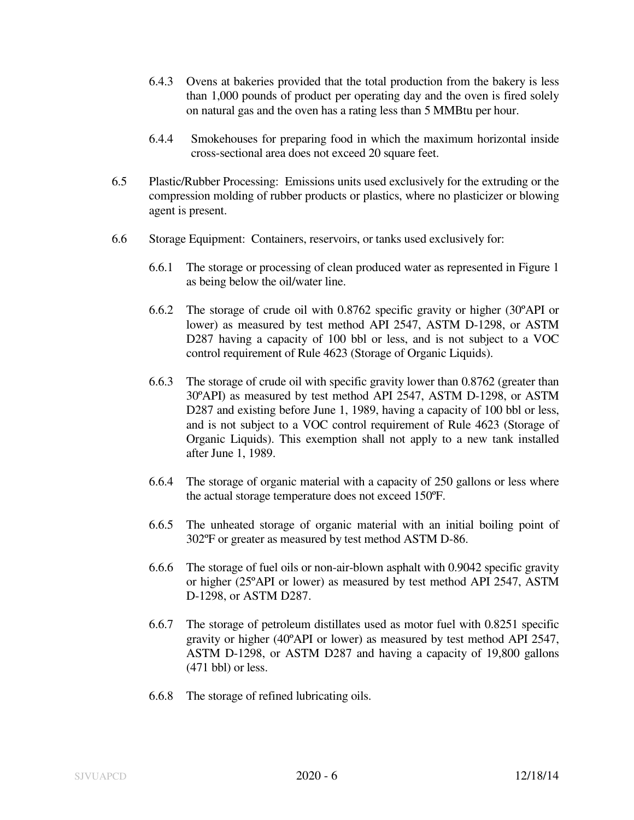- 6.4.3 Ovens at bakeries provided that the total production from the bakery is less than 1,000 pounds of product per operating day and the oven is fired solely on natural gas and the oven has a rating less than 5 MMBtu per hour.
- 6.4.4 Smokehouses for preparing food in which the maximum horizontal inside cross-sectional area does not exceed 20 square feet.
- 6.5 Plastic/Rubber Processing: Emissions units used exclusively for the extruding or the compression molding of rubber products or plastics, where no plasticizer or blowing agent is present.
- 6.6 Storage Equipment: Containers, reservoirs, or tanks used exclusively for:
	- 6.6.1 The storage or processing of clean produced water as represented in Figure 1 as being below the oil/water line.
	- 6.6.2 The storage of crude oil with 0.8762 specific gravity or higher (30ºAPI or lower) as measured by test method API 2547, ASTM D-1298, or ASTM D287 having a capacity of 100 bbl or less, and is not subject to a VOC control requirement of Rule 4623 (Storage of Organic Liquids).
	- 6.6.3 The storage of crude oil with specific gravity lower than 0.8762 (greater than 30ºAPI) as measured by test method API 2547, ASTM D-1298, or ASTM D287 and existing before June 1, 1989, having a capacity of 100 bbl or less, and is not subject to a VOC control requirement of Rule 4623 (Storage of Organic Liquids). This exemption shall not apply to a new tank installed after June 1, 1989.
	- 6.6.4 The storage of organic material with a capacity of 250 gallons or less where the actual storage temperature does not exceed 150ºF.
	- 6.6.5 The unheated storage of organic material with an initial boiling point of 302ºF or greater as measured by test method ASTM D-86.
	- 6.6.6 The storage of fuel oils or non-air-blown asphalt with 0.9042 specific gravity or higher (25ºAPI or lower) as measured by test method API 2547, ASTM D-1298, or ASTM D287.
	- 6.6.7 The storage of petroleum distillates used as motor fuel with 0.8251 specific gravity or higher (40ºAPI or lower) as measured by test method API 2547, ASTM D-1298, or ASTM D287 and having a capacity of 19,800 gallons (471 bbl) or less.
	- 6.6.8 The storage of refined lubricating oils.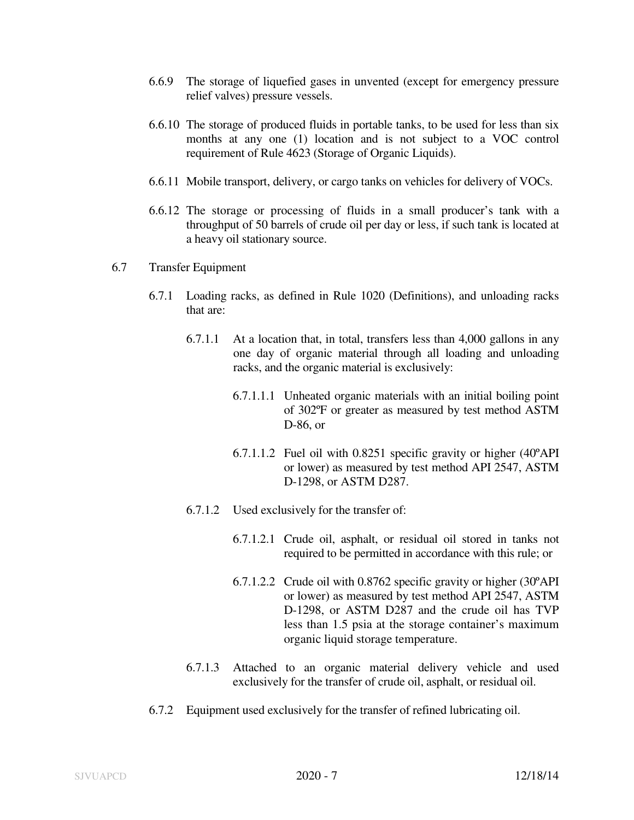- 6.6.9 The storage of liquefied gases in unvented (except for emergency pressure relief valves) pressure vessels.
- 6.6.10 The storage of produced fluids in portable tanks, to be used for less than six months at any one (1) location and is not subject to a VOC control requirement of Rule 4623 (Storage of Organic Liquids).
- 6.6.11 Mobile transport, delivery, or cargo tanks on vehicles for delivery of VOCs.
- 6.6.12 The storage or processing of fluids in a small producer's tank with a throughput of 50 barrels of crude oil per day or less, if such tank is located at a heavy oil stationary source.
- 6.7 Transfer Equipment
	- 6.7.1 Loading racks, as defined in Rule 1020 (Definitions), and unloading racks that are:
		- 6.7.1.1 At a location that, in total, transfers less than 4,000 gallons in any one day of organic material through all loading and unloading racks, and the organic material is exclusively:
			- 6.7.1.1.1 Unheated organic materials with an initial boiling point of 302ºF or greater as measured by test method ASTM D-86, or
			- 6.7.1.1.2 Fuel oil with 0.8251 specific gravity or higher (40ºAPI or lower) as measured by test method API 2547, ASTM D-1298, or ASTM D287.
		- 6.7.1.2 Used exclusively for the transfer of:
			- 6.7.1.2.1 Crude oil, asphalt, or residual oil stored in tanks not required to be permitted in accordance with this rule; or
			- 6.7.1.2.2 Crude oil with 0.8762 specific gravity or higher (30ºAPI or lower) as measured by test method API 2547, ASTM D-1298, or ASTM D287 and the crude oil has TVP less than 1.5 psia at the storage container's maximum organic liquid storage temperature.
		- 6.7.1.3 Attached to an organic material delivery vehicle and used exclusively for the transfer of crude oil, asphalt, or residual oil.
	- 6.7.2 Equipment used exclusively for the transfer of refined lubricating oil.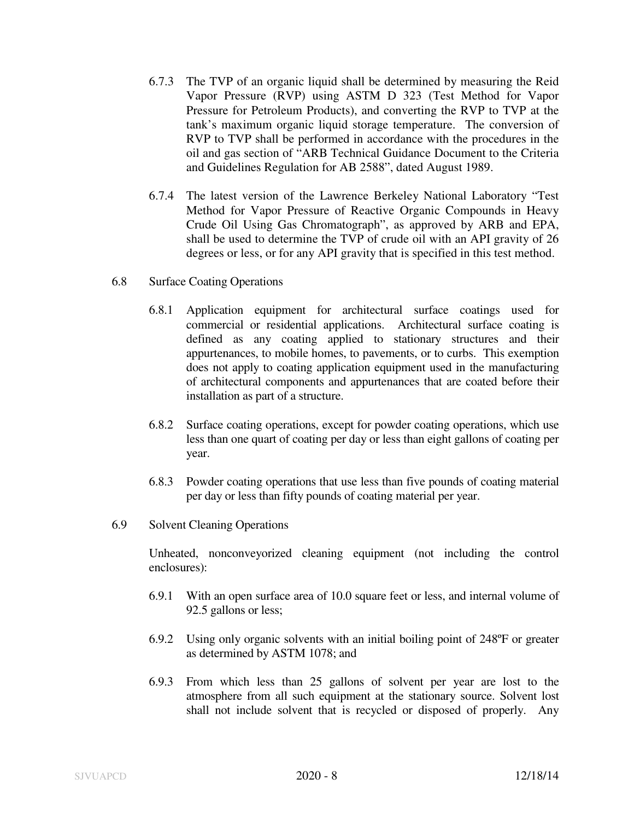- 6.7.3 The TVP of an organic liquid shall be determined by measuring the Reid Vapor Pressure (RVP) using ASTM D 323 (Test Method for Vapor Pressure for Petroleum Products), and converting the RVP to TVP at the tank's maximum organic liquid storage temperature. The conversion of RVP to TVP shall be performed in accordance with the procedures in the oil and gas section of "ARB Technical Guidance Document to the Criteria and Guidelines Regulation for AB 2588", dated August 1989.
- 6.7.4 The latest version of the Lawrence Berkeley National Laboratory "Test Method for Vapor Pressure of Reactive Organic Compounds in Heavy Crude Oil Using Gas Chromatograph", as approved by ARB and EPA, shall be used to determine the TVP of crude oil with an API gravity of 26 degrees or less, or for any API gravity that is specified in this test method.
- 6.8 Surface Coating Operations
	- 6.8.1 Application equipment for architectural surface coatings used for commercial or residential applications. Architectural surface coating is defined as any coating applied to stationary structures and their appurtenances, to mobile homes, to pavements, or to curbs. This exemption does not apply to coating application equipment used in the manufacturing of architectural components and appurtenances that are coated before their installation as part of a structure.
	- 6.8.2 Surface coating operations, except for powder coating operations, which use less than one quart of coating per day or less than eight gallons of coating per year.
	- 6.8.3 Powder coating operations that use less than five pounds of coating material per day or less than fifty pounds of coating material per year.
- 6.9 Solvent Cleaning Operations

 Unheated, nonconveyorized cleaning equipment (not including the control enclosures):

- 6.9.1 With an open surface area of 10.0 square feet or less, and internal volume of 92.5 gallons or less;
- 6.9.2 Using only organic solvents with an initial boiling point of 248ºF or greater as determined by ASTM 1078; and
- 6.9.3 From which less than 25 gallons of solvent per year are lost to the atmosphere from all such equipment at the stationary source. Solvent lost shall not include solvent that is recycled or disposed of properly. Any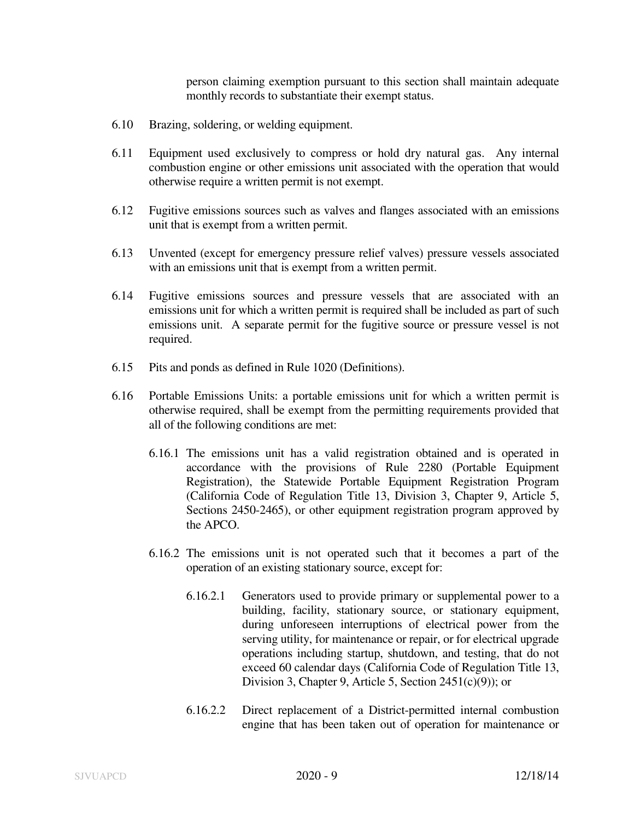person claiming exemption pursuant to this section shall maintain adequate monthly records to substantiate their exempt status.

- 6.10 Brazing, soldering, or welding equipment.
- 6.11 Equipment used exclusively to compress or hold dry natural gas. Any internal combustion engine or other emissions unit associated with the operation that would otherwise require a written permit is not exempt.
- 6.12 Fugitive emissions sources such as valves and flanges associated with an emissions unit that is exempt from a written permit.
- 6.13 Unvented (except for emergency pressure relief valves) pressure vessels associated with an emissions unit that is exempt from a written permit.
- 6.14 Fugitive emissions sources and pressure vessels that are associated with an emissions unit for which a written permit is required shall be included as part of such emissions unit. A separate permit for the fugitive source or pressure vessel is not required.
- 6.15 Pits and ponds as defined in Rule 1020 (Definitions).
- 6.16 Portable Emissions Units: a portable emissions unit for which a written permit is otherwise required, shall be exempt from the permitting requirements provided that all of the following conditions are met:
	- 6.16.1 The emissions unit has a valid registration obtained and is operated in accordance with the provisions of Rule 2280 (Portable Equipment Registration), the Statewide Portable Equipment Registration Program (California Code of Regulation Title 13, Division 3, Chapter 9, Article 5, Sections 2450-2465), or other equipment registration program approved by the APCO.
	- 6.16.2 The emissions unit is not operated such that it becomes a part of the operation of an existing stationary source, except for:
		- 6.16.2.1 Generators used to provide primary or supplemental power to a building, facility, stationary source, or stationary equipment, during unforeseen interruptions of electrical power from the serving utility, for maintenance or repair, or for electrical upgrade operations including startup, shutdown, and testing, that do not exceed 60 calendar days (California Code of Regulation Title 13, Division 3, Chapter 9, Article 5, Section 2451(c)(9)); or
		- 6.16.2.2 Direct replacement of a District-permitted internal combustion engine that has been taken out of operation for maintenance or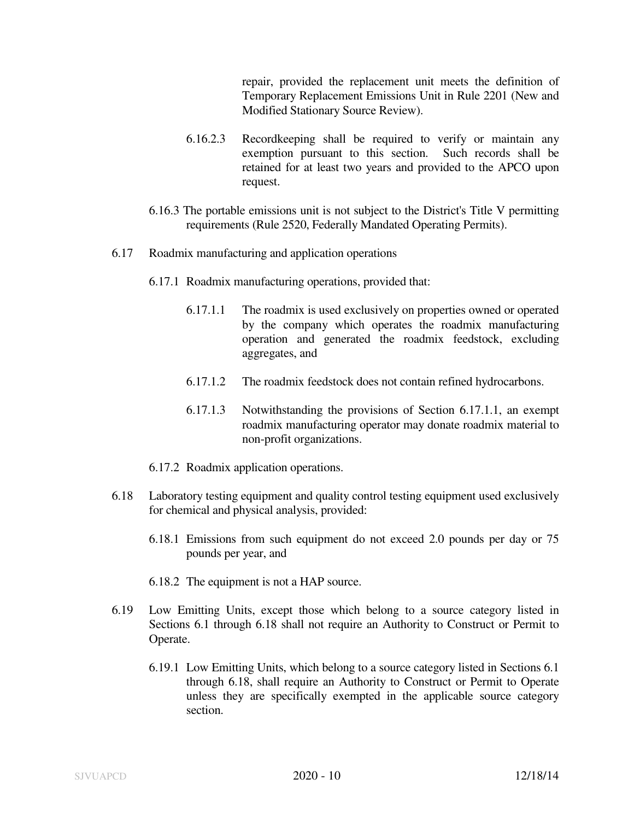repair, provided the replacement unit meets the definition of Temporary Replacement Emissions Unit in Rule 2201 (New and Modified Stationary Source Review).

- 6.16.2.3 Recordkeeping shall be required to verify or maintain any exemption pursuant to this section. Such records shall be retained for at least two years and provided to the APCO upon request.
- 6.16.3 The portable emissions unit is not subject to the District's Title V permitting requirements (Rule 2520, Federally Mandated Operating Permits).
- 6.17 Roadmix manufacturing and application operations
	- 6.17.1 Roadmix manufacturing operations, provided that:
		- 6.17.1.1 The roadmix is used exclusively on properties owned or operated by the company which operates the roadmix manufacturing operation and generated the roadmix feedstock, excluding aggregates, and
		- 6.17.1.2 The roadmix feedstock does not contain refined hydrocarbons.
		- 6.17.1.3 Notwithstanding the provisions of Section 6.17.1.1, an exempt roadmix manufacturing operator may donate roadmix material to non-profit organizations.
	- 6.17.2 Roadmix application operations.
- 6.18 Laboratory testing equipment and quality control testing equipment used exclusively for chemical and physical analysis, provided:
	- 6.18.1 Emissions from such equipment do not exceed 2.0 pounds per day or 75 pounds per year, and
	- 6.18.2 The equipment is not a HAP source.
- 6.19 Low Emitting Units, except those which belong to a source category listed in Sections 6.1 through 6.18 shall not require an Authority to Construct or Permit to Operate.
	- 6.19.1 Low Emitting Units, which belong to a source category listed in Sections 6.1 through 6.18, shall require an Authority to Construct or Permit to Operate unless they are specifically exempted in the applicable source category section.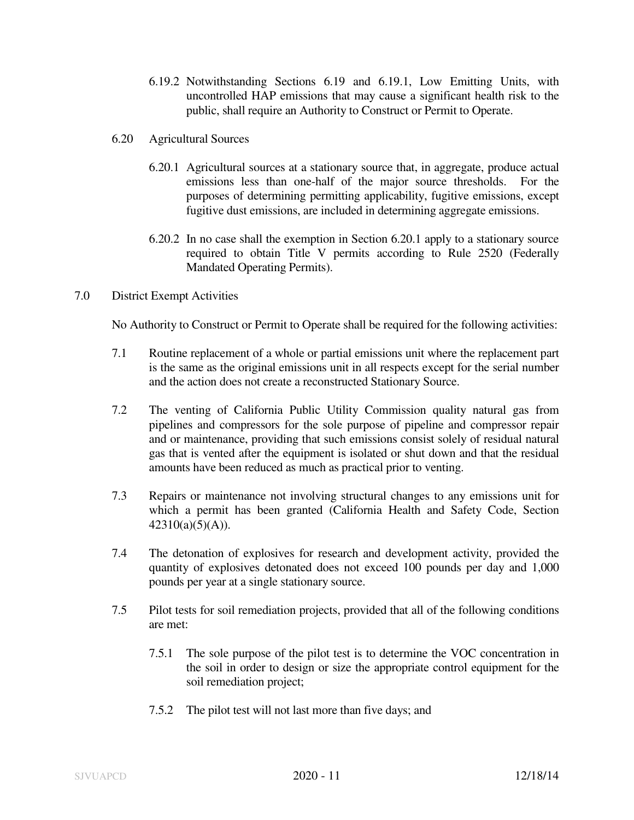- 6.19.2 Notwithstanding Sections 6.19 and 6.19.1, Low Emitting Units, with uncontrolled HAP emissions that may cause a significant health risk to the public, shall require an Authority to Construct or Permit to Operate.
- 6.20 Agricultural Sources
	- 6.20.1 Agricultural sources at a stationary source that, in aggregate, produce actual emissions less than one-half of the major source thresholds. For the purposes of determining permitting applicability, fugitive emissions, except fugitive dust emissions, are included in determining aggregate emissions.
	- 6.20.2 In no case shall the exemption in Section 6.20.1 apply to a stationary source required to obtain Title V permits according to Rule 2520 (Federally Mandated Operating Permits).
- 7.0 District Exempt Activities

No Authority to Construct or Permit to Operate shall be required for the following activities:

- 7.1 Routine replacement of a whole or partial emissions unit where the replacement part is the same as the original emissions unit in all respects except for the serial number and the action does not create a reconstructed Stationary Source.
- 7.2 The venting of California Public Utility Commission quality natural gas from pipelines and compressors for the sole purpose of pipeline and compressor repair and or maintenance, providing that such emissions consist solely of residual natural gas that is vented after the equipment is isolated or shut down and that the residual amounts have been reduced as much as practical prior to venting.
- 7.3 Repairs or maintenance not involving structural changes to any emissions unit for which a permit has been granted (California Health and Safety Code, Section 42310(a)(5)(A)).
- 7.4 The detonation of explosives for research and development activity, provided the quantity of explosives detonated does not exceed 100 pounds per day and 1,000 pounds per year at a single stationary source.
- 7.5 Pilot tests for soil remediation projects, provided that all of the following conditions are met:
	- 7.5.1 The sole purpose of the pilot test is to determine the VOC concentration in the soil in order to design or size the appropriate control equipment for the soil remediation project;
	- 7.5.2 The pilot test will not last more than five days; and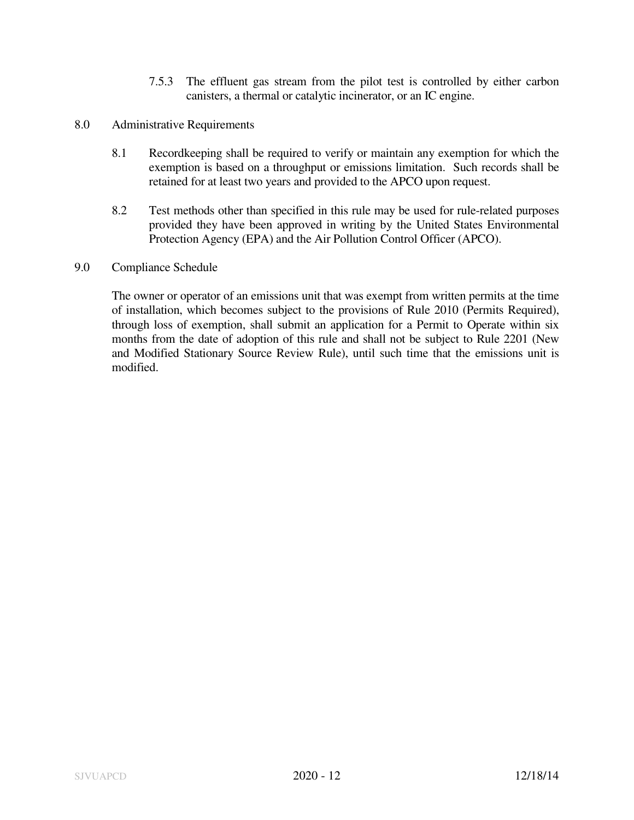- 7.5.3 The effluent gas stream from the pilot test is controlled by either carbon canisters, a thermal or catalytic incinerator, or an IC engine.
- 8.0 Administrative Requirements
	- 8.1 Recordkeeping shall be required to verify or maintain any exemption for which the exemption is based on a throughput or emissions limitation. Such records shall be retained for at least two years and provided to the APCO upon request.
	- 8.2 Test methods other than specified in this rule may be used for rule-related purposes provided they have been approved in writing by the United States Environmental Protection Agency (EPA) and the Air Pollution Control Officer (APCO).
- 9.0 Compliance Schedule

 The owner or operator of an emissions unit that was exempt from written permits at the time of installation, which becomes subject to the provisions of Rule 2010 (Permits Required), through loss of exemption, shall submit an application for a Permit to Operate within six months from the date of adoption of this rule and shall not be subject to Rule 2201 (New and Modified Stationary Source Review Rule), until such time that the emissions unit is modified.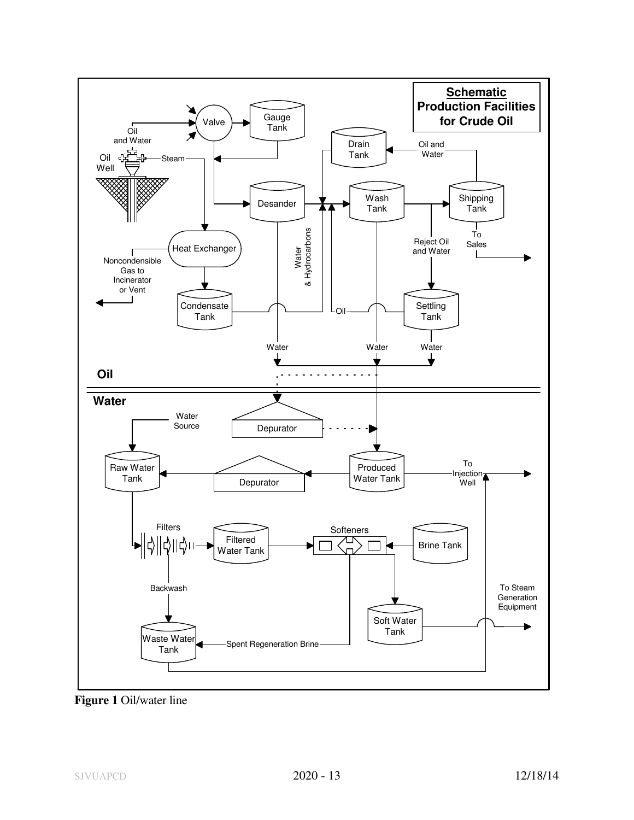

**Figure 1** Oil/water line